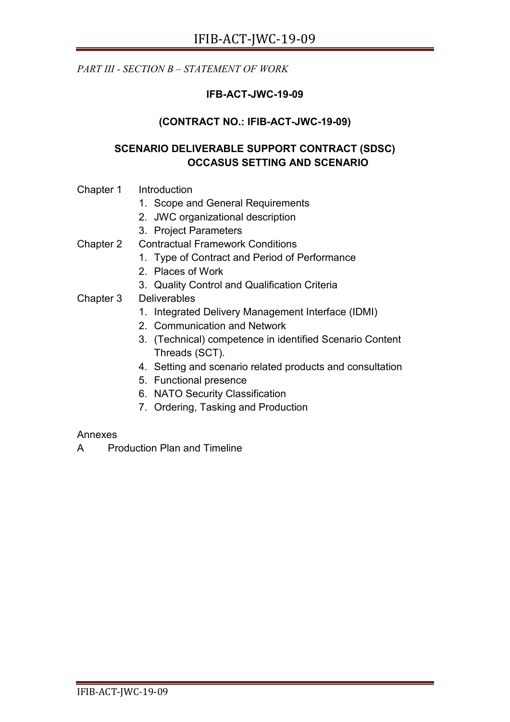*PART III - SECTION B – STATEMENT OF WORK* 

# **IFB-ACT-JWC-19-09**

## **(CONTRACT NO.: IFIB-ACT-JWC-19-09)**

## **SCENARIO DELIVERABLE SUPPORT CONTRACT (SDSC) OCCASUS SETTING AND SCENARIO**

- Chapter 1 Introduction
	- 1. Scope and General Requirements
	- 2. JWC organizational description
	- 3. Project Parameters
- Chapter 2 Contractual Framework Conditions
	- 1. Type of Contract and Period of Performance
	- 2. Places of Work
	- 3. Quality Control and Qualification Criteria
- Chapter 3 Deliverables
	- 1. Integrated Delivery Management Interface (IDMI)
	- 2. Communication and Network
	- 3. (Technical) competence in identified Scenario Content Threads (SCT).
	- 4. Setting and scenario related products and consultation
	- 5. Functional presence
	- 6. NATO Security Classification
	- 7. Ordering, Tasking and Production

#### Annexes

A Production Plan and Timeline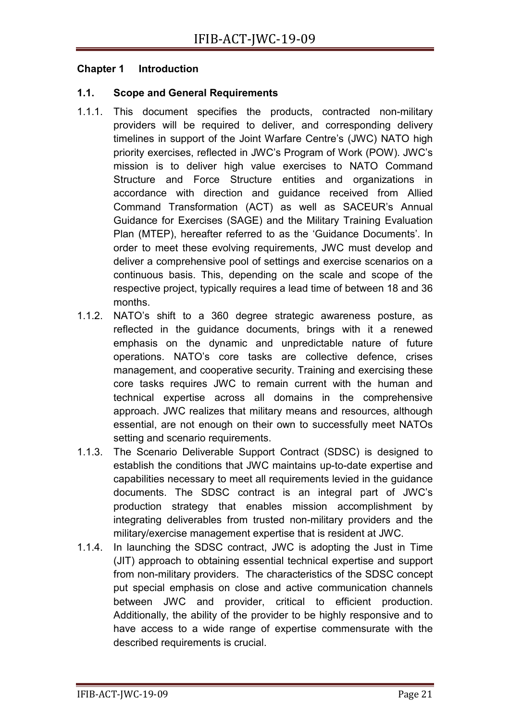#### **Chapter 1 Introduction**

#### **1.1. Scope and General Requirements**

- 1.1.1. This document specifies the products, contracted non-military providers will be required to deliver, and corresponding delivery timelines in support of the Joint Warfare Centre's (JWC) NATO high priority exercises, reflected in JWC's Program of Work (POW). JWC's mission is to deliver high value exercises to NATO Command Structure and Force Structure entities and organizations in accordance with direction and guidance received from Allied Command Transformation (ACT) as well as SACEUR's Annual Guidance for Exercises (SAGE) and the Military Training Evaluation Plan (MTEP), hereafter referred to as the 'Guidance Documents'. In order to meet these evolving requirements, JWC must develop and deliver a comprehensive pool of settings and exercise scenarios on a continuous basis. This, depending on the scale and scope of the respective project, typically requires a lead time of between 18 and 36 months.
- 1.1.2. NATO's shift to a 360 degree strategic awareness posture, as reflected in the guidance documents, brings with it a renewed emphasis on the dynamic and unpredictable nature of future operations. NATO's core tasks are collective defence, crises management, and cooperative security. Training and exercising these core tasks requires JWC to remain current with the human and technical expertise across all domains in the comprehensive approach. JWC realizes that military means and resources, although essential, are not enough on their own to successfully meet NATOs setting and scenario requirements.
- 1.1.3. The Scenario Deliverable Support Contract (SDSC) is designed to establish the conditions that JWC maintains up-to-date expertise and capabilities necessary to meet all requirements levied in the guidance documents. The SDSC contract is an integral part of JWC's production strategy that enables mission accomplishment by integrating deliverables from trusted non-military providers and the military/exercise management expertise that is resident at JWC.
- 1.1.4. In launching the SDSC contract, JWC is adopting the Just in Time (JIT) approach to obtaining essential technical expertise and support from non-military providers. The characteristics of the SDSC concept put special emphasis on close and active communication channels between JWC and provider, critical to efficient production. Additionally, the ability of the provider to be highly responsive and to have access to a wide range of expertise commensurate with the described requirements is crucial.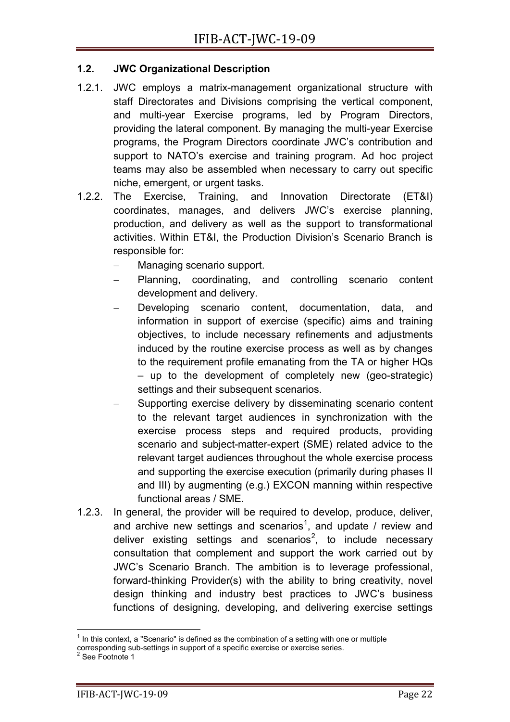### **1.2. JWC Organizational Description**

- 1.2.1. JWC employs a matrix-management organizational structure with staff Directorates and Divisions comprising the vertical component, and multi-year Exercise programs, led by Program Directors, providing the lateral component. By managing the multi-year Exercise programs, the Program Directors coordinate JWC's contribution and support to NATO's exercise and training program. Ad hoc project teams may also be assembled when necessary to carry out specific niche, emergent, or urgent tasks.
- 1.2.2. The Exercise, Training, and Innovation Directorate (ET&I) coordinates, manages, and delivers JWC's exercise planning, production, and delivery as well as the support to transformational activities. Within ET&I, the Production Division's Scenario Branch is responsible for:
	- Managing scenario support.
	- − Planning, coordinating, and controlling scenario content development and delivery.
	- Developing scenario content, documentation, data, and information in support of exercise (specific) aims and training objectives, to include necessary refinements and adjustments induced by the routine exercise process as well as by changes to the requirement profile emanating from the TA or higher HQs – up to the development of completely new (geo-strategic) settings and their subsequent scenarios.
	- Supporting exercise delivery by disseminating scenario content to the relevant target audiences in synchronization with the exercise process steps and required products, providing scenario and subject-matter-expert (SME) related advice to the relevant target audiences throughout the whole exercise process and supporting the exercise execution (primarily during phases II and III) by augmenting (e.g.) EXCON manning within respective functional areas / SME.
- 1.2.3. In general, the provider will be required to develop, produce, deliver, and archive new settings and scenarios<sup>[1](#page-2-0)</sup>, and update / review and deliver existing settings and scenarios<sup>[2](#page-2-1)</sup>, to include necessary consultation that complement and support the work carried out by JWC's Scenario Branch. The ambition is to leverage professional, forward-thinking Provider(s) with the ability to bring creativity, novel design thinking and industry best practices to JWC's business functions of designing, developing, and delivering exercise settings

 $1$  In this context, a "Scenario" is defined as the combination of a setting with one or multiple

<span id="page-2-1"></span><span id="page-2-0"></span>corresponding sub-settings in support of a specific exercise or exercise series.<br>
<sup>2</sup> See Footnote 1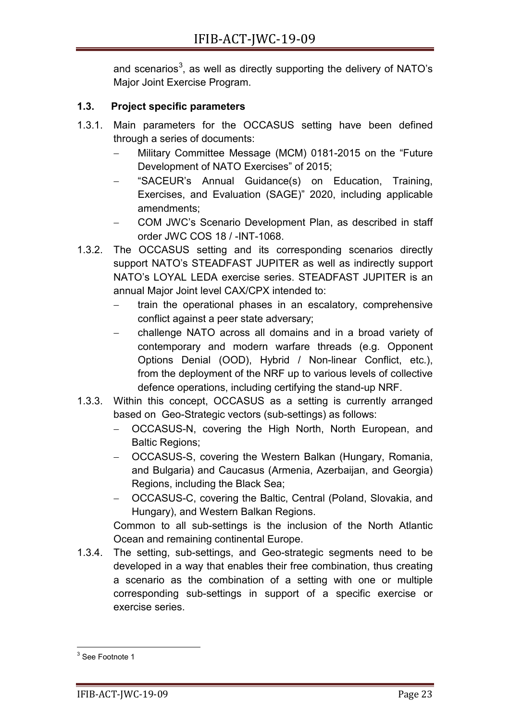and scenarios<sup>[3](#page-3-0)</sup>, as well as directly supporting the delivery of NATO's Major Joint Exercise Program.

# **1.3. Project specific parameters**

- 1.3.1. Main parameters for the OCCASUS setting have been defined through a series of documents:
	- − Military Committee Message (MCM) 0181-2015 on the "Future Development of NATO Exercises" of 2015;
	- − "SACEUR's Annual Guidance(s) on Education, Training, Exercises, and Evaluation (SAGE)" 2020, including applicable amendments;
	- − COM JWC's Scenario Development Plan, as described in staff order JWC COS 18 / -INT-1068.
- 1.3.2. The OCCASUS setting and its corresponding scenarios directly support NATO's STEADFAST JUPITER as well as indirectly support NATO's LOYAL LEDA exercise series. STEADFAST JUPITER is an annual Major Joint level CAX/CPX intended to:
	- train the operational phases in an escalatory, comprehensive conflict against a peer state adversary;
	- challenge NATO across all domains and in a broad variety of contemporary and modern warfare threads (e.g. Opponent Options Denial (OOD), Hybrid / Non-linear Conflict, etc.), from the deployment of the NRF up to various levels of collective defence operations, including certifying the stand-up NRF.
- 1.3.3. Within this concept, OCCASUS as a setting is currently arranged based on Geo-Strategic vectors (sub-settings) as follows:
	- − OCCASUS-N, covering the High North, North European, and Baltic Regions;
	- − OCCASUS-S, covering the Western Balkan (Hungary, Romania, and Bulgaria) and Caucasus (Armenia, Azerbaijan, and Georgia) Regions, including the Black Sea;
	- − OCCASUS-C, covering the Baltic, Central (Poland, Slovakia, and Hungary), and Western Balkan Regions.

Common to all sub-settings is the inclusion of the North Atlantic Ocean and remaining continental Europe.

1.3.4. The setting, sub-settings, and Geo-strategic segments need to be developed in a way that enables their free combination, thus creating a scenario as the combination of a setting with one or multiple corresponding sub-settings in support of a specific exercise or exercise series.

<span id="page-3-0"></span><sup>&</sup>lt;sup>3</sup> See Footnote 1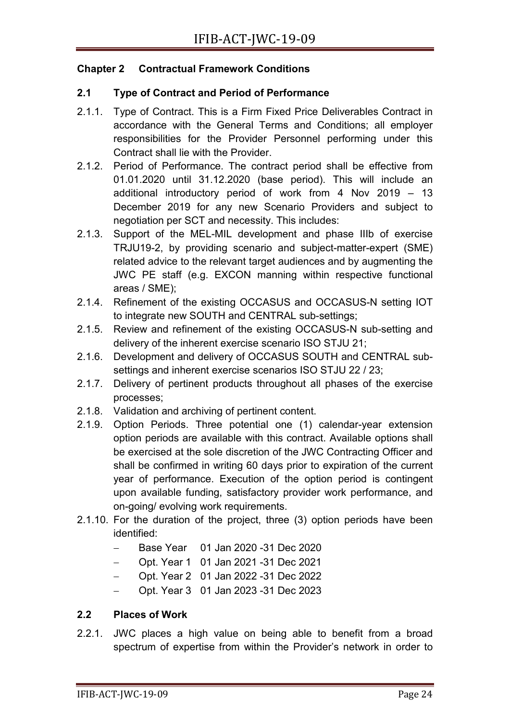### **Chapter 2 Contractual Framework Conditions**

### **2.1 Type of Contract and Period of Performance**

- 2.1.1. Type of Contract. This is a Firm Fixed Price Deliverables Contract in accordance with the General Terms and Conditions; all employer responsibilities for the Provider Personnel performing under this Contract shall lie with the Provider.
- 2.1.2. Period of Performance. The contract period shall be effective from 01.01.2020 until 31.12.2020 (base period). This will include an additional introductory period of work from 4 Nov 2019 – 13 December 2019 for any new Scenario Providers and subject to negotiation per SCT and necessity. This includes:
- 2.1.3. Support of the MEL-MIL development and phase IIIb of exercise TRJU19-2, by providing scenario and subject-matter-expert (SME) related advice to the relevant target audiences and by augmenting the JWC PE staff (e.g. EXCON manning within respective functional areas / SME);
- 2.1.4. Refinement of the existing OCCASUS and OCCASUS-N setting IOT to integrate new SOUTH and CENTRAL sub-settings;
- 2.1.5. Review and refinement of the existing OCCASUS-N sub-setting and delivery of the inherent exercise scenario ISO STJU 21;
- 2.1.6. Development and delivery of OCCASUS SOUTH and CENTRAL subsettings and inherent exercise scenarios ISO STJU 22 / 23;
- 2.1.7. Delivery of pertinent products throughout all phases of the exercise processes;
- 2.1.8. Validation and archiving of pertinent content.
- 2.1.9. Option Periods. Three potential one (1) calendar-year extension option periods are available with this contract. Available options shall be exercised at the sole discretion of the JWC Contracting Officer and shall be confirmed in writing 60 days prior to expiration of the current year of performance. Execution of the option period is contingent upon available funding, satisfactory provider work performance, and on-going/ evolving work requirements.
- 2.1.10. For the duration of the project, three (3) option periods have been identified:
	- − Base Year 01 Jan 2020 -31 Dec 2020
	- − Opt. Year 1 01 Jan 2021 -31 Dec 2021
	- − Opt. Year 2 01 Jan 2022 -31 Dec 2022
	- − Opt. Year 3 01 Jan 2023 -31 Dec 2023

### **2.2 Places of Work**

2.2.1. JWC places a high value on being able to benefit from a broad spectrum of expertise from within the Provider's network in order to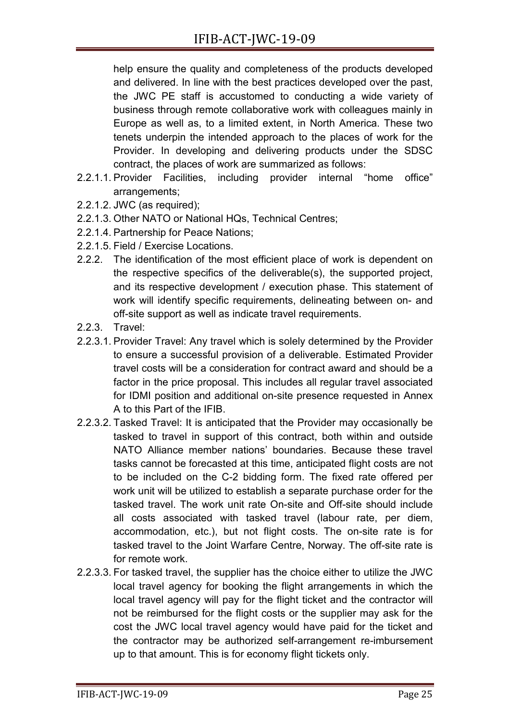help ensure the quality and completeness of the products developed and delivered. In line with the best practices developed over the past, the JWC PE staff is accustomed to conducting a wide variety of business through remote collaborative work with colleagues mainly in Europe as well as, to a limited extent, in North America. These two tenets underpin the intended approach to the places of work for the Provider. In developing and delivering products under the SDSC contract, the places of work are summarized as follows:

- 2.2.1.1. Provider Facilities, including provider internal "home office" arrangements;
- 2.2.1.2. JWC (as required);
- 2.2.1.3. Other NATO or National HQs, Technical Centres;
- 2.2.1.4. Partnership for Peace Nations;
- 2.2.1.5. Field / Exercise Locations.
- 2.2.2. The identification of the most efficient place of work is dependent on the respective specifics of the deliverable(s), the supported project, and its respective development / execution phase. This statement of work will identify specific requirements, delineating between on- and off-site support as well as indicate travel requirements.
- 2.2.3. Travel:
- 2.2.3.1. Provider Travel: Any travel which is solely determined by the Provider to ensure a successful provision of a deliverable. Estimated Provider travel costs will be a consideration for contract award and should be a factor in the price proposal. This includes all regular travel associated for IDMI position and additional on-site presence requested in Annex A to this Part of the IFIB.
- 2.2.3.2. Tasked Travel: It is anticipated that the Provider may occasionally be tasked to travel in support of this contract, both within and outside NATO Alliance member nations' boundaries. Because these travel tasks cannot be forecasted at this time, anticipated flight costs are not to be included on the C-2 bidding form. The fixed rate offered per work unit will be utilized to establish a separate purchase order for the tasked travel. The work unit rate On-site and Off-site should include all costs associated with tasked travel (labour rate, per diem, accommodation, etc.), but not flight costs. The on-site rate is for tasked travel to the Joint Warfare Centre, Norway. The off-site rate is for remote work.
- 2.2.3.3. For tasked travel, the supplier has the choice either to utilize the JWC local travel agency for booking the flight arrangements in which the local travel agency will pay for the flight ticket and the contractor will not be reimbursed for the flight costs or the supplier may ask for the cost the JWC local travel agency would have paid for the ticket and the contractor may be authorized self-arrangement re-imbursement up to that amount. This is for economy flight tickets only.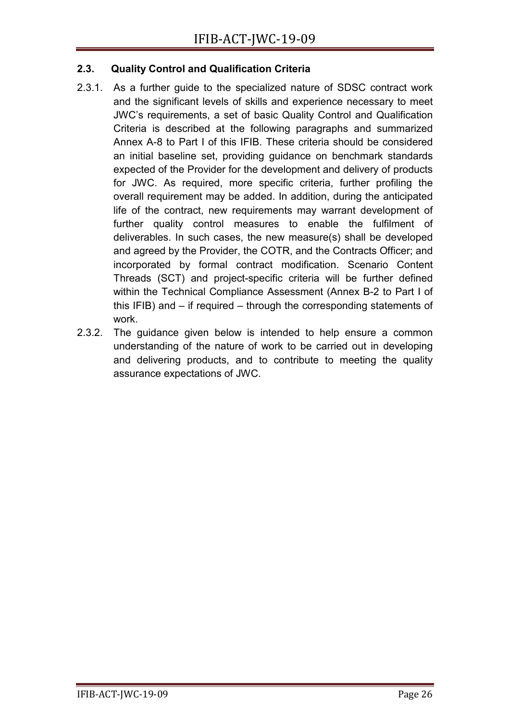## **2.3. Quality Control and Qualification Criteria**

- 2.3.1. As a further guide to the specialized nature of SDSC contract work and the significant levels of skills and experience necessary to meet JWC's requirements, a set of basic Quality Control and Qualification Criteria is described at the following paragraphs and summarized Annex A-8 to Part I of this IFIB. These criteria should be considered an initial baseline set, providing guidance on benchmark standards expected of the Provider for the development and delivery of products for JWC. As required, more specific criteria, further profiling the overall requirement may be added. In addition, during the anticipated life of the contract, new requirements may warrant development of further quality control measures to enable the fulfilment of deliverables. In such cases, the new measure(s) shall be developed and agreed by the Provider, the COTR, and the Contracts Officer; and incorporated by formal contract modification. Scenario Content Threads (SCT) and project-specific criteria will be further defined within the Technical Compliance Assessment (Annex B-2 to Part I of this IFIB) and – if required – through the corresponding statements of work.
- 2.3.2. The guidance given below is intended to help ensure a common understanding of the nature of work to be carried out in developing and delivering products, and to contribute to meeting the quality assurance expectations of JWC.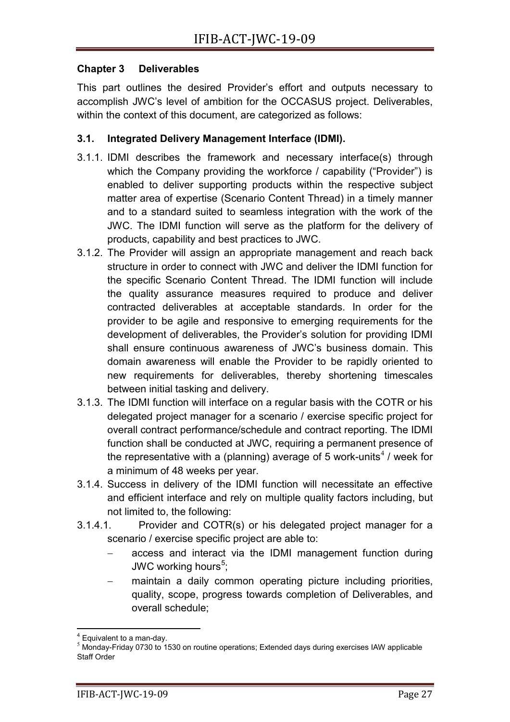### **Chapter 3 Deliverables**

This part outlines the desired Provider's effort and outputs necessary to accomplish JWC's level of ambition for the OCCASUS project. Deliverables, within the context of this document, are categorized as follows:

## **3.1. Integrated Delivery Management Interface (IDMI).**

- 3.1.1. IDMI describes the framework and necessary interface(s) through which the Company providing the workforce / capability ("Provider") is enabled to deliver supporting products within the respective subject matter area of expertise (Scenario Content Thread) in a timely manner and to a standard suited to seamless integration with the work of the JWC. The IDMI function will serve as the platform for the delivery of products, capability and best practices to JWC.
- 3.1.2. The Provider will assign an appropriate management and reach back structure in order to connect with JWC and deliver the IDMI function for the specific Scenario Content Thread. The IDMI function will include the quality assurance measures required to produce and deliver contracted deliverables at acceptable standards. In order for the provider to be agile and responsive to emerging requirements for the development of deliverables, the Provider's solution for providing IDMI shall ensure continuous awareness of JWC's business domain. This domain awareness will enable the Provider to be rapidly oriented to new requirements for deliverables, thereby shortening timescales between initial tasking and delivery.
- 3.1.3. The IDMI function will interface on a regular basis with the COTR or his delegated project manager for a scenario / exercise specific project for overall contract performance/schedule and contract reporting. The IDMI function shall be conducted at JWC, requiring a permanent presence of the representative with a (planning) average of 5 work-units<sup>[4](#page-7-0)</sup> / week for a minimum of 48 weeks per year.
- 3.1.4. Success in delivery of the IDMI function will necessitate an effective and efficient interface and rely on multiple quality factors including, but not limited to, the following:
- 3.1.4.1. Provider and COTR(s) or his delegated project manager for a scenario / exercise specific project are able to:
	- access and interact via the IDMI management function during JWC working hours<sup>[5](#page-7-1)</sup>;
	- maintain a daily common operating picture including priorities, quality, scope, progress towards completion of Deliverables, and overall schedule;

<span id="page-7-1"></span><span id="page-7-0"></span> $^4$  Equivalent to a man-day.<br><sup>5</sup> Monday-Friday 0730 to 1530 on routine operations; Extended days during exercises IAW applicable Staff Order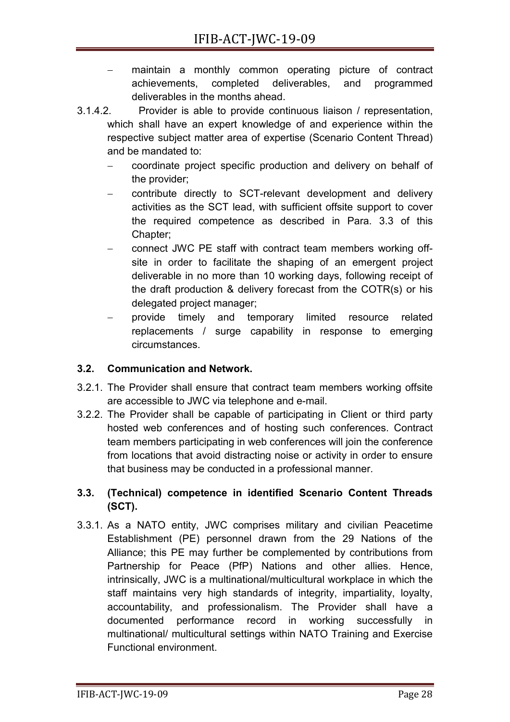- maintain a monthly common operating picture of contract achievements, completed deliverables, and programmed deliverables in the months ahead.
- 3.1.4.2. Provider is able to provide continuous liaison / representation, which shall have an expert knowledge of and experience within the respective subject matter area of expertise (Scenario Content Thread) and be mandated to:
	- − coordinate project specific production and delivery on behalf of the provider;
	- − contribute directly to SCT-relevant development and delivery activities as the SCT lead, with sufficient offsite support to cover the required competence as described in Para. 3.3 of this Chapter;
	- − connect JWC PE staff with contract team members working offsite in order to facilitate the shaping of an emergent project deliverable in no more than 10 working days, following receipt of the draft production & delivery forecast from the COTR(s) or his delegated project manager;
	- − provide timely and temporary limited resource related replacements / surge capability in response to emerging circumstances.

# **3.2. Communication and Network.**

- 3.2.1. The Provider shall ensure that contract team members working offsite are accessible to JWC via telephone and e-mail.
- 3.2.2. The Provider shall be capable of participating in Client or third party hosted web conferences and of hosting such conferences. Contract team members participating in web conferences will join the conference from locations that avoid distracting noise or activity in order to ensure that business may be conducted in a professional manner.

# **3.3. (Technical) competence in identified Scenario Content Threads (SCT).**

3.3.1. As a NATO entity, JWC comprises military and civilian Peacetime Establishment (PE) personnel drawn from the 29 Nations of the Alliance; this PE may further be complemented by contributions from Partnership for Peace (PfP) Nations and other allies. Hence, intrinsically, JWC is a multinational/multicultural workplace in which the staff maintains very high standards of integrity, impartiality, loyalty, accountability, and professionalism. The Provider shall have a documented performance record in working successfully in multinational/ multicultural settings within NATO Training and Exercise Functional environment.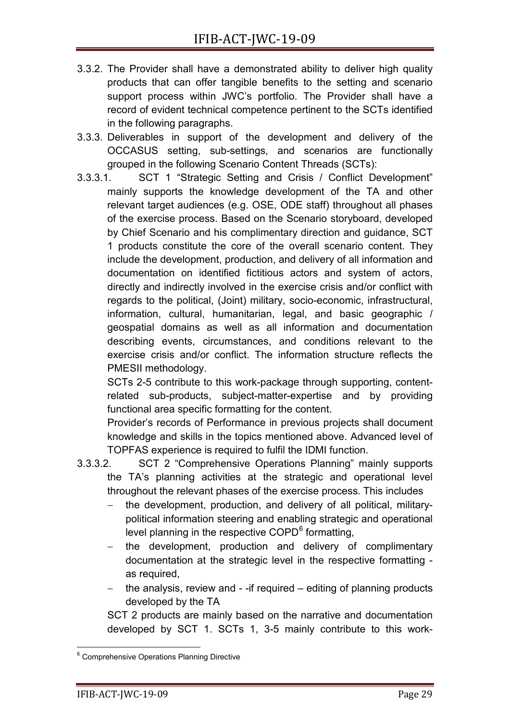- 3.3.2. The Provider shall have a demonstrated ability to deliver high quality products that can offer tangible benefits to the setting and scenario support process within JWC's portfolio. The Provider shall have a record of evident technical competence pertinent to the SCTs identified in the following paragraphs.
- 3.3.3. Deliverables in support of the development and delivery of the OCCASUS setting, sub-settings, and scenarios are functionally grouped in the following Scenario Content Threads (SCTs):
- 3.3.3.1. SCT 1 "Strategic Setting and Crisis / Conflict Development" mainly supports the knowledge development of the TA and other relevant target audiences (e.g. OSE, ODE staff) throughout all phases of the exercise process. Based on the Scenario storyboard, developed by Chief Scenario and his complimentary direction and guidance, SCT 1 products constitute the core of the overall scenario content. They include the development, production, and delivery of all information and documentation on identified fictitious actors and system of actors, directly and indirectly involved in the exercise crisis and/or conflict with regards to the political, (Joint) military, socio-economic, infrastructural, information, cultural, humanitarian, legal, and basic geographic / geospatial domains as well as all information and documentation describing events, circumstances, and conditions relevant to the exercise crisis and/or conflict. The information structure reflects the PMESII methodology.

SCTs 2-5 contribute to this work-package through supporting, contentrelated sub-products, subject-matter-expertise and by providing functional area specific formatting for the content.

Provider's records of Performance in previous projects shall document knowledge and skills in the topics mentioned above. Advanced level of TOPFAS experience is required to fulfil the IDMI function.

- 3.3.3.2. SCT 2 "Comprehensive Operations Planning" mainly supports the TA's planning activities at the strategic and operational level throughout the relevant phases of the exercise process. This includes
	- − the development, production, and delivery of all political, militarypolitical information steering and enabling strategic and operational level planning in the respective COPD<sup>[6](#page-9-0)</sup> formatting,
	- the development, production and delivery of complimentary documentation at the strategic level in the respective formatting as required,
	- the analysis, review and -if required editing of planning products developed by the TA

SCT 2 products are mainly based on the narrative and documentation developed by SCT 1. SCTs 1, 3-5 mainly contribute to this work-

<span id="page-9-0"></span><sup>&</sup>lt;sup>6</sup> Comprehensive Operations Planning Directive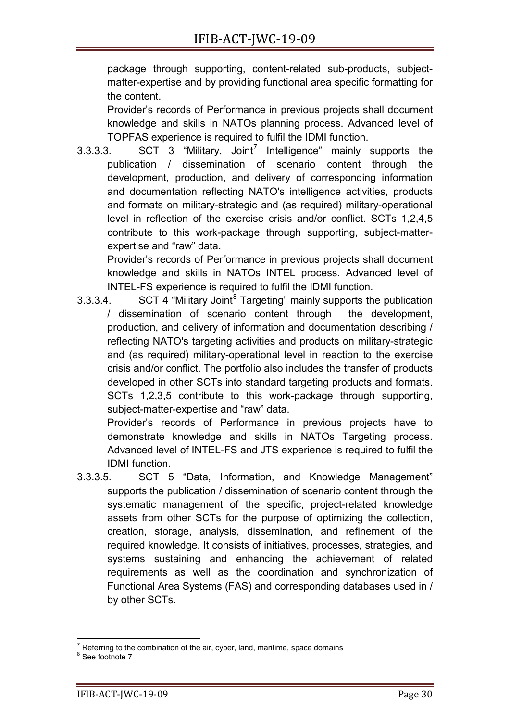package through supporting, content-related sub-products, subjectmatter-expertise and by providing functional area specific formatting for the content.

Provider's records of Performance in previous projects shall document knowledge and skills in NATOs planning process. Advanced level of TOPFAS experience is required to fulfil the IDMI function.

3.3.3.3. SCT 3 "Military, Joint<sup>[7](#page-10-0)</sup> Intelligence" mainly supports the publication / dissemination of scenario content through the development, production, and delivery of corresponding information and documentation reflecting NATO's intelligence activities, products and formats on military-strategic and (as required) military-operational level in reflection of the exercise crisis and/or conflict. SCTs 1,2,4,5 contribute to this work-package through supporting, subject-matterexpertise and "raw" data.

Provider's records of Performance in previous projects shall document knowledge and skills in NATOs INTEL process. Advanced level of INTEL-FS experience is required to fulfil the IDMI function.

3.3.3.4. SCT 4 "Military Joint<sup>[8](#page-10-1)</sup> Targeting" mainly supports the publication / dissemination of scenario content through the development, production, and delivery of information and documentation describing / reflecting NATO's targeting activities and products on military-strategic and (as required) military-operational level in reaction to the exercise crisis and/or conflict. The portfolio also includes the transfer of products developed in other SCTs into standard targeting products and formats. SCTs 1,2,3,5 contribute to this work-package through supporting, subject-matter-expertise and "raw" data.

Provider's records of Performance in previous projects have to demonstrate knowledge and skills in NATOs Targeting process. Advanced level of INTEL-FS and JTS experience is required to fulfil the IDMI function.

3.3.3.5. SCT 5 "Data, Information, and Knowledge Management" supports the publication / dissemination of scenario content through the systematic management of the specific, project-related knowledge assets from other SCTs for the purpose of optimizing the collection, creation, storage, analysis, dissemination, and refinement of the required knowledge. It consists of initiatives, processes, strategies, and systems sustaining and enhancing the achievement of related requirements as well as the coordination and synchronization of Functional Area Systems (FAS) and corresponding databases used in / by other SCTs.

<span id="page-10-0"></span><sup>&</sup>lt;sup>7</sup> Referring to the combination of the air, cyber, land, maritime, space domains  $8$  See footnote 7

<span id="page-10-1"></span>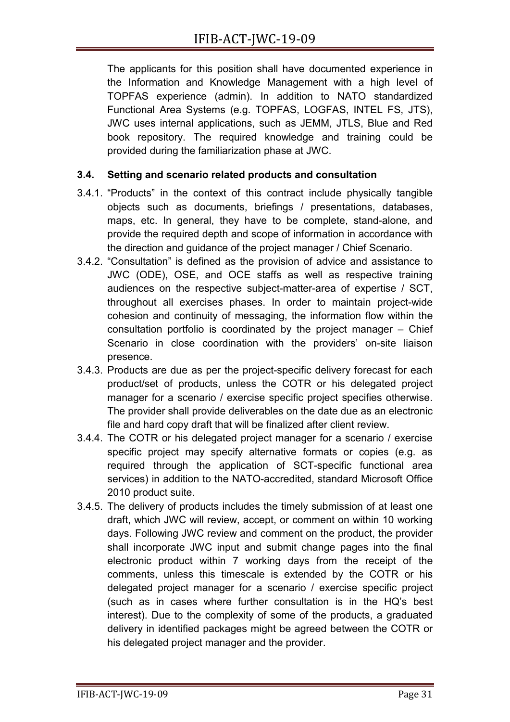The applicants for this position shall have documented experience in the Information and Knowledge Management with a high level of TOPFAS experience (admin). In addition to NATO standardized Functional Area Systems (e.g. TOPFAS, LOGFAS, INTEL FS, JTS), JWC uses internal applications, such as JEMM, JTLS, Blue and Red book repository. The required knowledge and training could be provided during the familiarization phase at JWC.

## **3.4. Setting and scenario related products and consultation**

- 3.4.1. "Products" in the context of this contract include physically tangible objects such as documents, briefings / presentations, databases, maps, etc. In general, they have to be complete, stand-alone, and provide the required depth and scope of information in accordance with the direction and guidance of the project manager / Chief Scenario.
- 3.4.2. "Consultation" is defined as the provision of advice and assistance to JWC (ODE), OSE, and OCE staffs as well as respective training audiences on the respective subject-matter-area of expertise / SCT, throughout all exercises phases. In order to maintain project-wide cohesion and continuity of messaging, the information flow within the consultation portfolio is coordinated by the project manager – Chief Scenario in close coordination with the providers' on-site liaison presence.
- 3.4.3. Products are due as per the project-specific delivery forecast for each product/set of products, unless the COTR or his delegated project manager for a scenario / exercise specific project specifies otherwise. The provider shall provide deliverables on the date due as an electronic file and hard copy draft that will be finalized after client review.
- 3.4.4. The COTR or his delegated project manager for a scenario / exercise specific project may specify alternative formats or copies (e.g. as required through the application of SCT-specific functional area services) in addition to the NATO-accredited, standard Microsoft Office 2010 product suite.
- 3.4.5. The delivery of products includes the timely submission of at least one draft, which JWC will review, accept, or comment on within 10 working days. Following JWC review and comment on the product, the provider shall incorporate JWC input and submit change pages into the final electronic product within 7 working days from the receipt of the comments, unless this timescale is extended by the COTR or his delegated project manager for a scenario / exercise specific project (such as in cases where further consultation is in the HQ's best interest). Due to the complexity of some of the products, a graduated delivery in identified packages might be agreed between the COTR or his delegated project manager and the provider.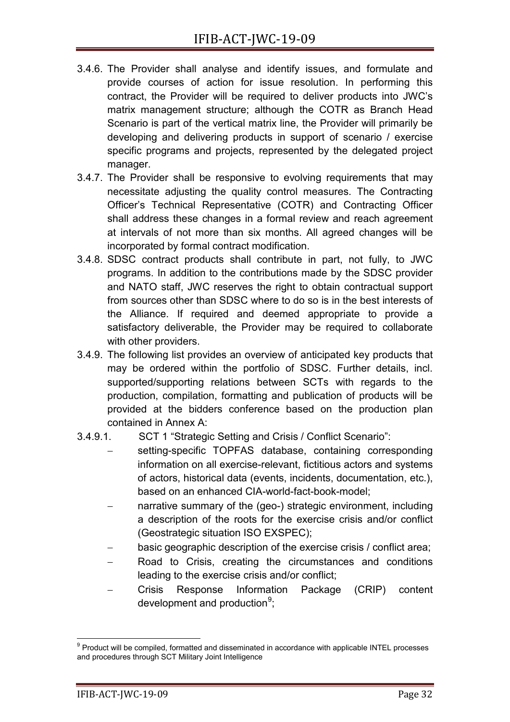- 3.4.6. The Provider shall analyse and identify issues, and formulate and provide courses of action for issue resolution. In performing this contract, the Provider will be required to deliver products into JWC's matrix management structure; although the COTR as Branch Head Scenario is part of the vertical matrix line, the Provider will primarily be developing and delivering products in support of scenario / exercise specific programs and projects, represented by the delegated project manager.
- 3.4.7. The Provider shall be responsive to evolving requirements that may necessitate adjusting the quality control measures. The Contracting Officer's Technical Representative (COTR) and Contracting Officer shall address these changes in a formal review and reach agreement at intervals of not more than six months. All agreed changes will be incorporated by formal contract modification.
- 3.4.8. SDSC contract products shall contribute in part, not fully, to JWC programs. In addition to the contributions made by the SDSC provider and NATO staff, JWC reserves the right to obtain contractual support from sources other than SDSC where to do so is in the best interests of the Alliance. If required and deemed appropriate to provide a satisfactory deliverable, the Provider may be required to collaborate with other providers.
- 3.4.9. The following list provides an overview of anticipated key products that may be ordered within the portfolio of SDSC. Further details, incl. supported/supporting relations between SCTs with regards to the production, compilation, formatting and publication of products will be provided at the bidders conference based on the production plan contained in Annex A:
- 3.4.9.1. SCT 1 "Strategic Setting and Crisis / Conflict Scenario":
	- setting-specific TOPFAS database, containing corresponding information on all exercise-relevant, fictitious actors and systems of actors, historical data (events, incidents, documentation, etc.), based on an enhanced CIA-world-fact-book-model;
	- narrative summary of the (geo-) strategic environment, including a description of the roots for the exercise crisis and/or conflict (Geostrategic situation ISO EXSPEC);
	- basic geographic description of the exercise crisis / conflict area;
	- Road to Crisis, creating the circumstances and conditions leading to the exercise crisis and/or conflict;
	- − Crisis Response Information Package (CRIP) content development and production<sup>[9](#page-12-0)</sup>;

<span id="page-12-0"></span> $9$  Product will be compiled, formatted and disseminated in accordance with applicable INTEL processes and procedures through SCT Military Joint Intelligence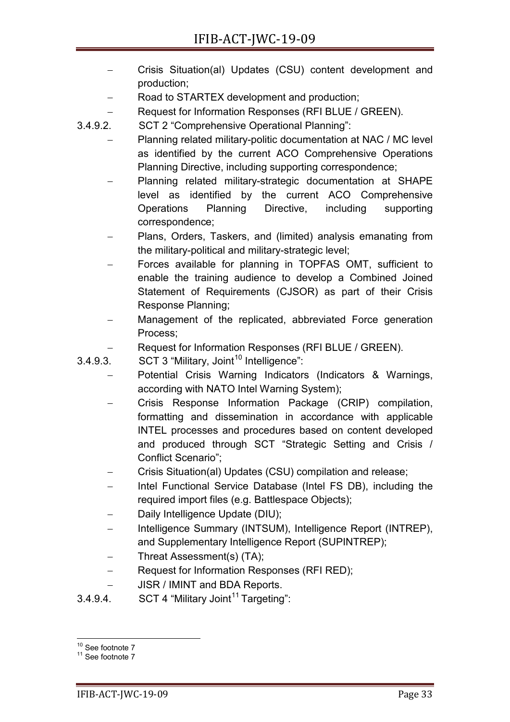- − Crisis Situation(al) Updates (CSU) content development and production;
- Road to STARTEX development and production;
- − Request for Information Responses (RFI BLUE / GREEN).

3.4.9.2. SCT 2 "Comprehensive Operational Planning":

- − Planning related military-politic documentation at NAC / MC level as identified by the current ACO Comprehensive Operations Planning Directive, including supporting correspondence;
- − Planning related military-strategic documentation at SHAPE level as identified by the current ACO Comprehensive Operations Planning Directive, including supporting correspondence;
- Plans, Orders, Taskers, and (limited) analysis emanating from the military-political and military-strategic level;
- Forces available for planning in TOPFAS OMT, sufficient to enable the training audience to develop a Combined Joined Statement of Requirements (CJSOR) as part of their Crisis Response Planning;
- Management of the replicated, abbreviated Force generation Process;
- Request for Information Responses (RFI BLUE / GREEN).
- $3.4.9.3.$  SCT 3 "Military, Joint<sup>[10](#page-13-0)</sup> Intelligence":
	- − Potential Crisis Warning Indicators (Indicators & Warnings, according with NATO Intel Warning System);
	- − Crisis Response Information Package (CRIP) compilation, formatting and dissemination in accordance with applicable INTEL processes and procedures based on content developed and produced through SCT "Strategic Setting and Crisis / Conflict Scenario";
	- − Crisis Situation(al) Updates (CSU) compilation and release;
	- Intel Functional Service Database (Intel FS DB), including the required import files (e.g. Battlespace Objects);
	- Daily Intelligence Update (DIU);
	- − Intelligence Summary (INTSUM), Intelligence Report (INTREP), and Supplementary Intelligence Report (SUPINTREP);
	- − Threat Assessment(s) (TA);
	- − Request for Information Responses (RFI RED);
	- JISR / IMINT and BDA Reports.
- 3.4.9.4. SCT 4 "Military Joint<sup>[11](#page-13-1)</sup> Targeting":

<span id="page-13-1"></span><span id="page-13-0"></span> $10^{10}$  See footnote 7<br> $11$  See footnote 7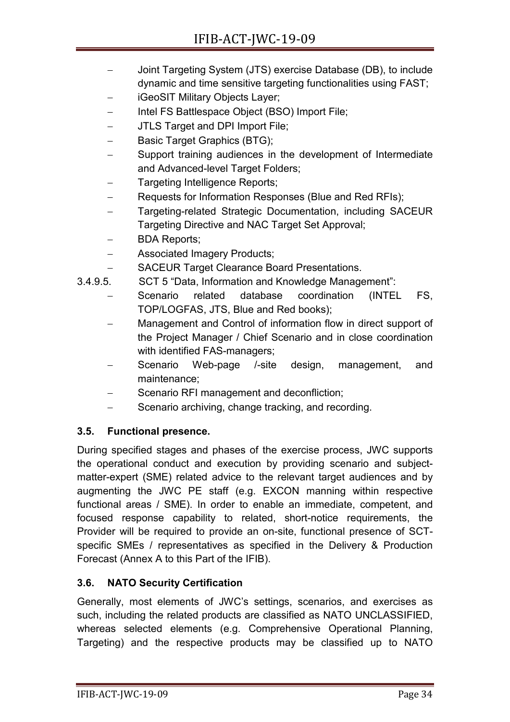- − Joint Targeting System (JTS) exercise Database (DB), to include dynamic and time sensitive targeting functionalities using FAST;
- − iGeoSIT Military Objects Layer;
- − Intel FS Battlespace Object (BSO) Import File;
- JTLS Target and DPI Import File;
- Basic Target Graphics (BTG);
- Support training audiences in the development of Intermediate and Advanced-level Target Folders;
- − Targeting Intelligence Reports;
- Requests for Information Responses (Blue and Red RFIs);
- Targeting-related Strategic Documentation, including SACEUR Targeting Directive and NAC Target Set Approval;
- − BDA Reports;
- − Associated Imagery Products;
- − SACEUR Target Clearance Board Presentations.
- 3.4.9.5. SCT 5 "Data, Information and Knowledge Management":
	- Scenario related database coordination (INTEL FS, TOP/LOGFAS, JTS, Blue and Red books);
	- Management and Control of information flow in direct support of the Project Manager / Chief Scenario and in close coordination with identified FAS-managers;
	- Scenario Web-page /-site design, management, and maintenance;
	- Scenario RFI management and deconfliction;
	- Scenario archiving, change tracking, and recording.

# **3.5. Functional presence.**

During specified stages and phases of the exercise process, JWC supports the operational conduct and execution by providing scenario and subjectmatter-expert (SME) related advice to the relevant target audiences and by augmenting the JWC PE staff (e.g. EXCON manning within respective functional areas / SME). In order to enable an immediate, competent, and focused response capability to related, short-notice requirements, the Provider will be required to provide an on-site, functional presence of SCTspecific SMEs / representatives as specified in the Delivery & Production Forecast (Annex A to this Part of the IFIB).

# **3.6. NATO Security Certification**

Generally, most elements of JWC's settings, scenarios, and exercises as such, including the related products are classified as NATO UNCLASSIFIED, whereas selected elements (e.g. Comprehensive Operational Planning, Targeting) and the respective products may be classified up to NATO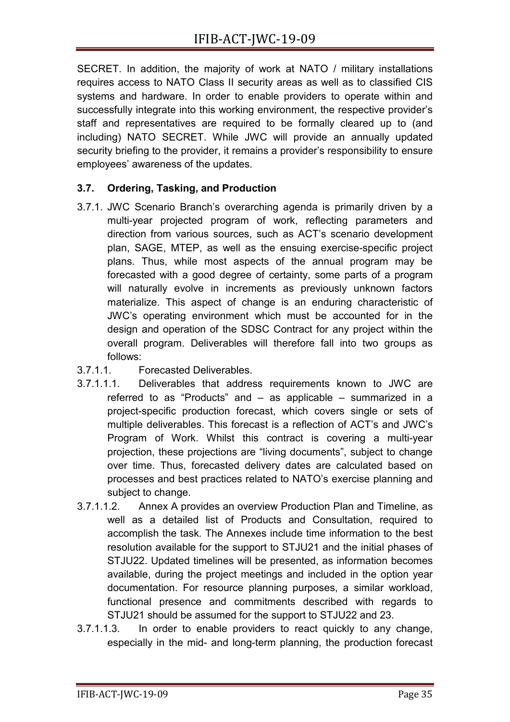SECRET. In addition, the majority of work at NATO / military installations requires access to NATO Class II security areas as well as to classified CIS systems and hardware. In order to enable providers to operate within and successfully integrate into this working environment, the respective provider's staff and representatives are required to be formally cleared up to (and including) NATO SECRET. While JWC will provide an annually updated security briefing to the provider, it remains a provider's responsibility to ensure employees' awareness of the updates.

# **3.7. Ordering, Tasking, and Production**

- 3.7.1. JWC Scenario Branch's overarching agenda is primarily driven by a multi-year projected program of work, reflecting parameters and direction from various sources, such as ACT's scenario development plan, SAGE, MTEP, as well as the ensuing exercise-specific project plans. Thus, while most aspects of the annual program may be forecasted with a good degree of certainty, some parts of a program will naturally evolve in increments as previously unknown factors materialize. This aspect of change is an enduring characteristic of JWC's operating environment which must be accounted for in the design and operation of the SDSC Contract for any project within the overall program. Deliverables will therefore fall into two groups as follows:
- 3.7.1.1. Forecasted Deliverables.
- 3.7.1.1.1. Deliverables that address requirements known to JWC are referred to as "Products" and – as applicable – summarized in a project-specific production forecast, which covers single or sets of multiple deliverables. This forecast is a reflection of ACT's and JWC's Program of Work. Whilst this contract is covering a multi-year projection, these projections are "living documents", subject to change over time. Thus, forecasted delivery dates are calculated based on processes and best practices related to NATO's exercise planning and subject to change.
- 3.7.1.1.2. Annex A provides an overview Production Plan and Timeline, as well as a detailed list of Products and Consultation, required to accomplish the task*.* The Annexes include time information to the best resolution available for the support to STJU21 and the initial phases of STJU22. Updated timelines will be presented, as information becomes available, during the project meetings and included in the option year documentation. For resource planning purposes, a similar workload, functional presence and commitments described with regards to STJU21 should be assumed for the support to STJU22 and 23.
- 3.7.1.1.3. In order to enable providers to react quickly to any change, especially in the mid- and long-term planning, the production forecast